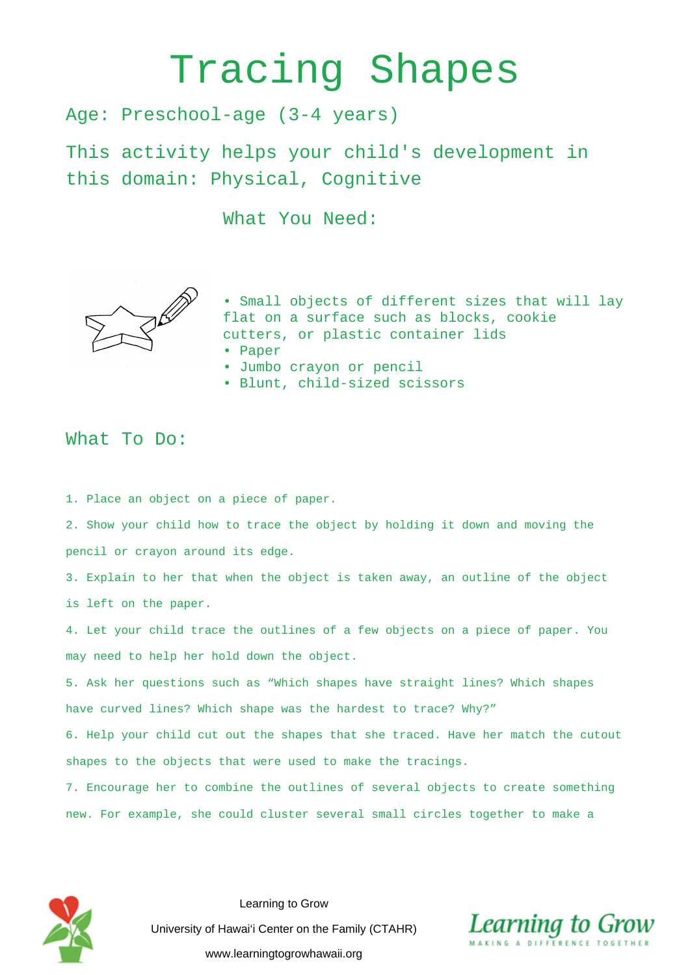## Tracing Shapes

Age: Preschool-age (3-4 years)

This activity helps your child's development in this domain: Physical, Cognitive

What You Need:



• Small objects of different sizes that will lay flat on a surface such as blocks, cookie cutters, or plastic container lids

- Paper
- Jumbo crayon or pencil
- Blunt, child-sized scissors

## What To Do:

1. Place an object on a piece of paper.

2. Show your child how to trace the object by holding it down and moving the pencil or crayon around its edge.

3. Explain to her that when the object is taken away, an outline of the object is left on the paper.

4. Let your child trace the outlines of a few objects on a piece of paper. You may need to help her hold down the object.

5. Ask her questions such as "Which shapes have straight lines? Which shapes have curved lines? Which shape was the hardest to trace? Why?"

6. Help your child cut out the shapes that she traced. Have her match the cutout shapes to the objects that were used to make the tracings.

7. Encourage her to combine the outlines of several objects to create something new. For example, she could cluster several small circles together to make a



Learning to Grow University of Hawai'i Center on the Family (CTAHR) www.learningtogrowhawaii.org